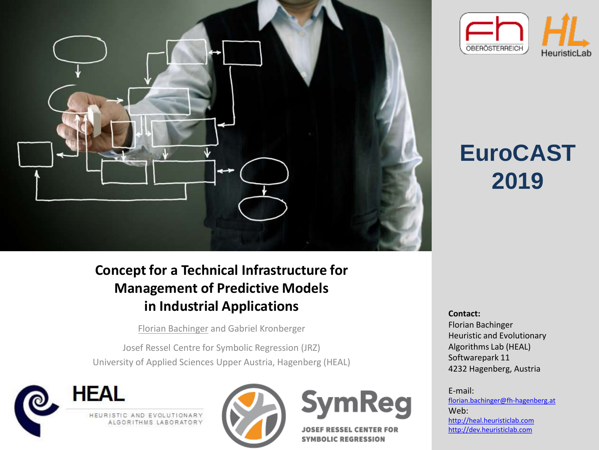

## **EuroCAST**

**2019**

#### **Concept for a Technical Infrastructure for Management of Predictive Models in Industrial Applications Contactions**

Florian Bachinger and Gabriel Kronberger

Josef Ressel Centre for Symbolic Regression (JRZ) University of Applied Sciences Upper Austria, Hagenberg (HEAL)







**JOSEF RESSEL CENTER FOR SYMBOLIC REGRESSION** 

Florian Bachinger Heuristic and Evolutionary Algorithms Lab (HEAL) Softwarepark 11 4232 Hagenberg, Austria

E-mail: [florian.bachinger@fh-hagenberg.at](mailto:florian.bachinger@fh-hagenberg.at) Web: [http://heal.heuristiclab.com](http://heal.heuristiclab.com/) [http://dev.heuristiclab.com](http://dev.heuristiclab.com/)

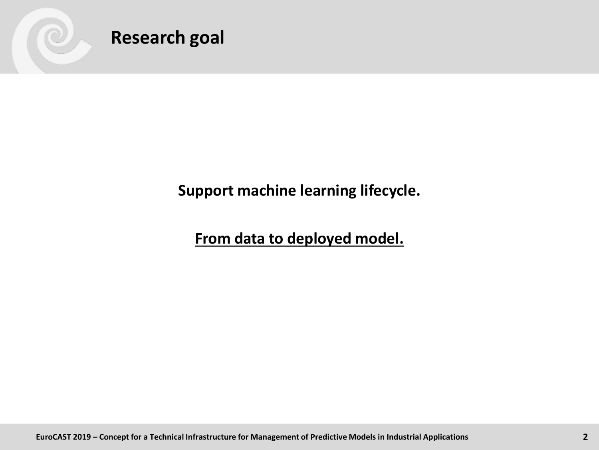

**Research goal**

**Support machine learning lifecycle.**

**From data to deployed model.**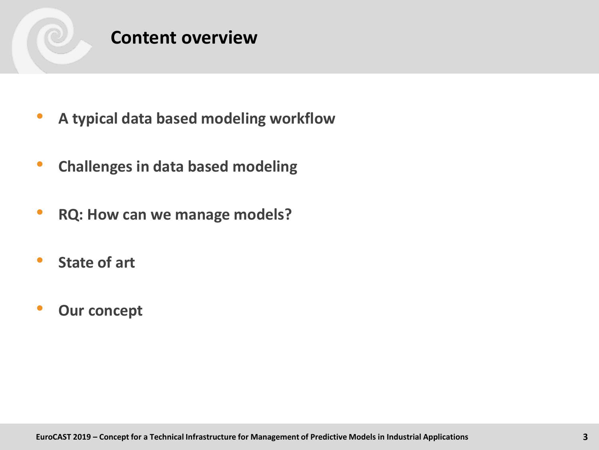

#### **Content overview**

- **A typical data based modeling workflow**
- **Challenges in data based modeling**
- **RQ: How can we manage models?**
- **State of art**
- **Our concept**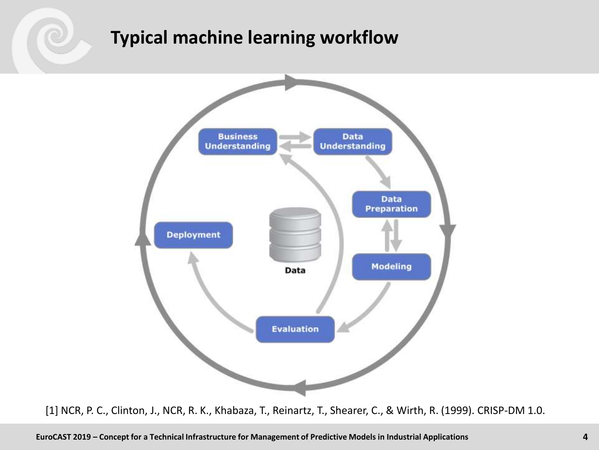#### **Typical machine learning workflow**



[1] NCR, P. C., Clinton, J., NCR, R. K., Khabaza, T., Reinartz, T., Shearer, C., & Wirth, R. (1999). CRISP-DM 1.0.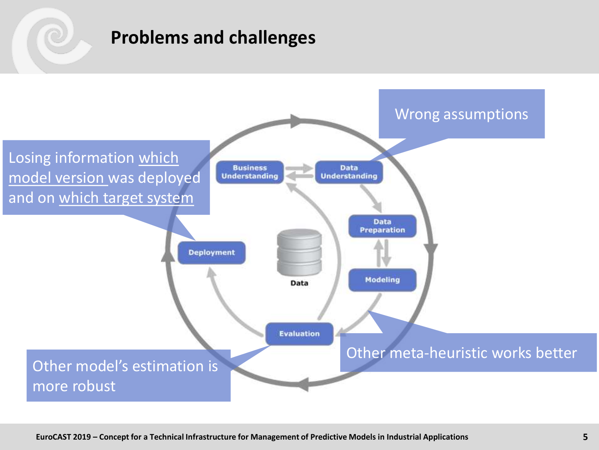#### **Problems and challenges**

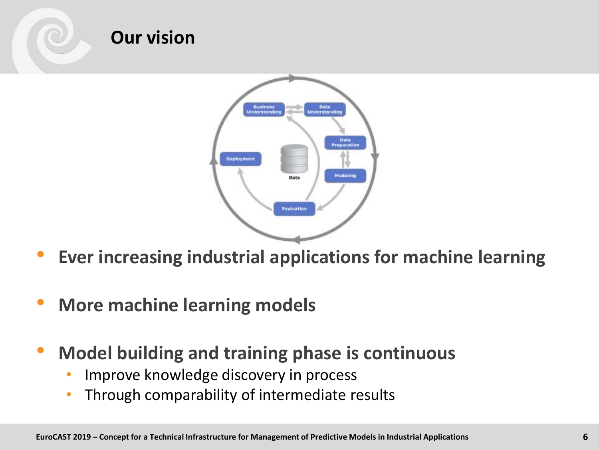

- **Ever increasing industrial applications for machine learning**
- **More machine learning models**
- **Model building and training phase is continuous**
	- Improve knowledge discovery in process
	- Through comparability of intermediate results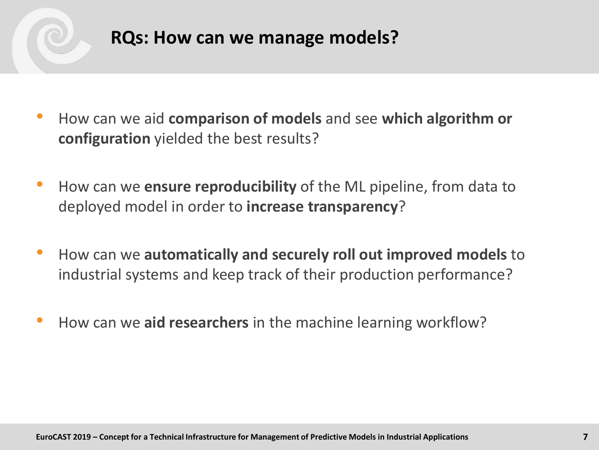

#### **RQs: How can we manage models?**

- How can we aid **comparison of models** and see **which algorithm or configuration** yielded the best results?
- How can we **ensure reproducibility** of the ML pipeline, from data to deployed model in order to **increase transparency**?
- How can we **automatically and securely roll out improved models** to industrial systems and keep track of their production performance?
- How can we **aid researchers** in the machine learning workflow?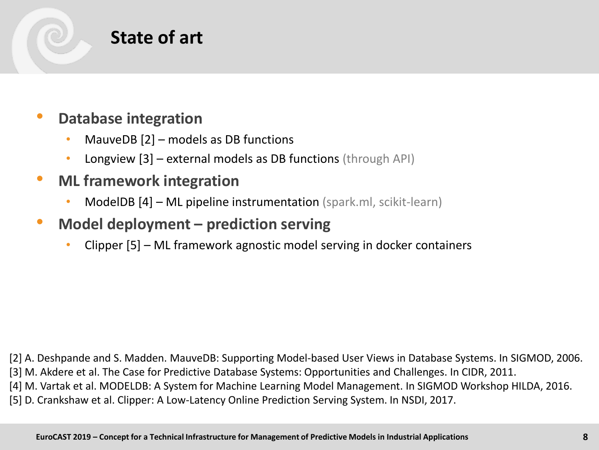

#### • **Database integration**

- MauveDB  $[2]$  models as DB functions
- Longview [3] external models as DB functions (through API)

#### • **ML framework integration**

- ModelDB [4] ML pipeline instrumentation (spark.ml, scikit-learn)
- **Model deployment – prediction serving**
	- Clipper [5] ML framework agnostic model serving in docker containers

[2] A. Deshpande and S. Madden. MauveDB: Supporting Model-based User Views in Database Systems. In SIGMOD, 2006.

[3] M. Akdere et al. The Case for Predictive Database Systems: Opportunities and Challenges. In CIDR, 2011.

[4] M. Vartak et al. MODELDB: A System for Machine Learning Model Management. In SIGMOD Workshop HILDA, 2016.

[5] D. Crankshaw et al. Clipper: A Low-Latency Online Prediction Serving System. In NSDI, 2017.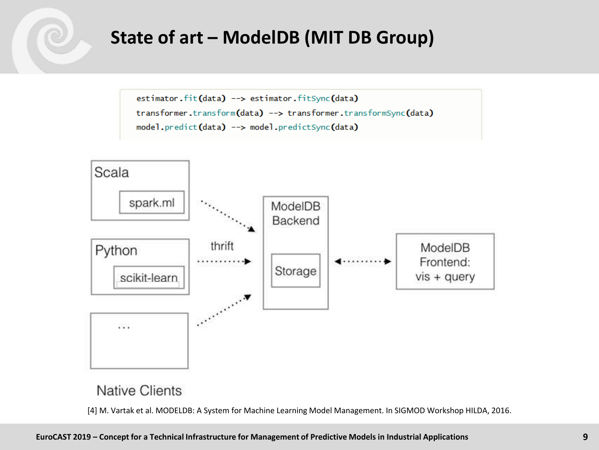#### **State of art – ModelDB (MIT DB Group)**

```
estimator.fit(data) --> estimator.fitSync(data)
transformer.transform(data) --> transformer.transformSync(data)
model.predict(data) --> model.predictSync(data)
```


#### **Native Clients**

[4] M. Vartak et al. MODELDB: A System for Machine Learning Model Management. In SIGMOD Workshop HILDA, 2016.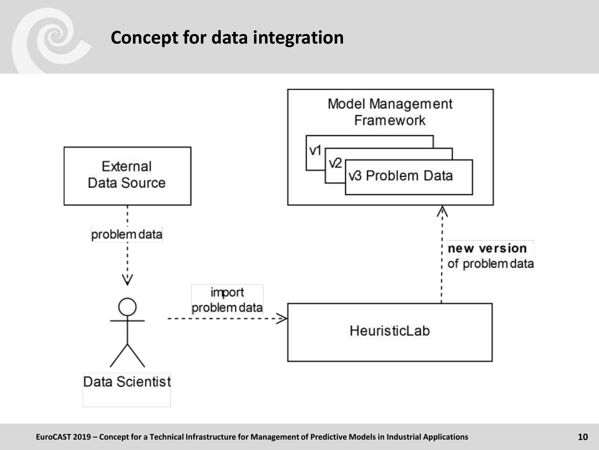#### **Concept for data integration**

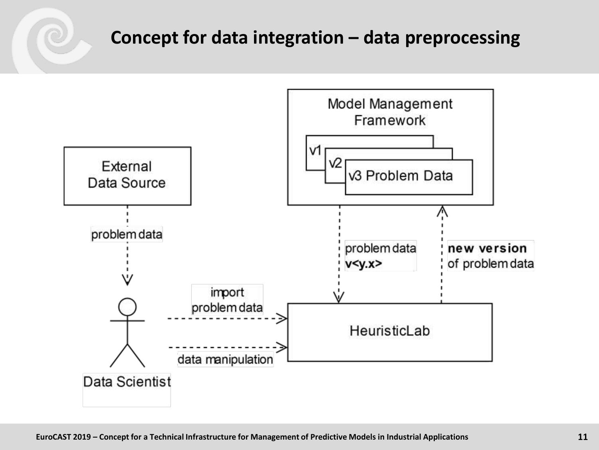#### **Concept for data integration – data preprocessing**

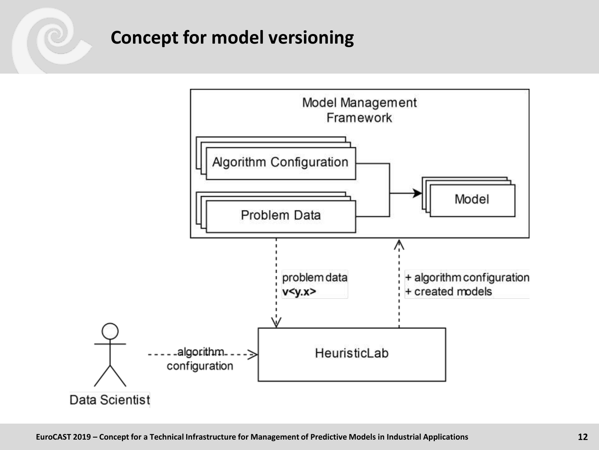#### **Concept for model versioning**

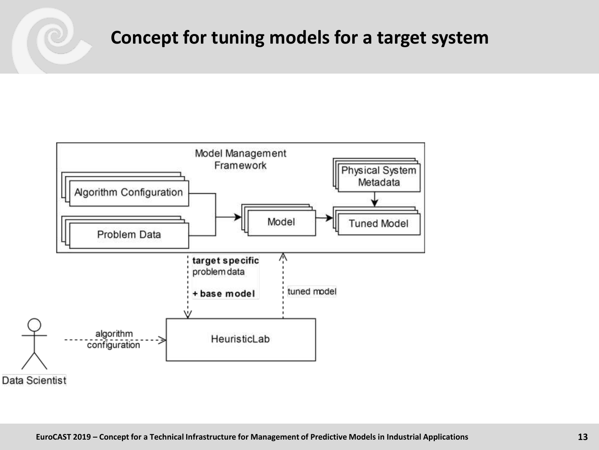#### **Concept for tuning models for a target system**

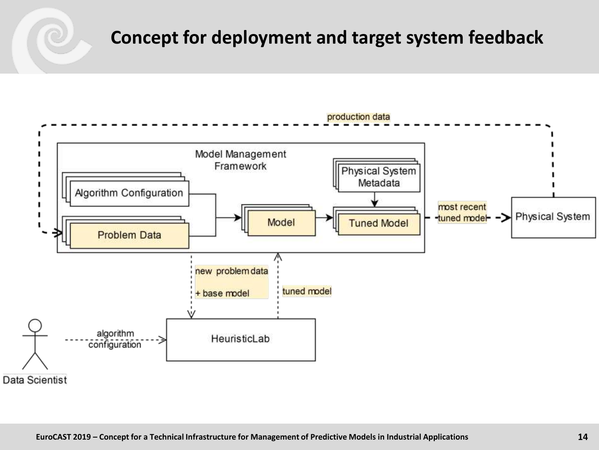#### **Concept for deployment and target system feedback**

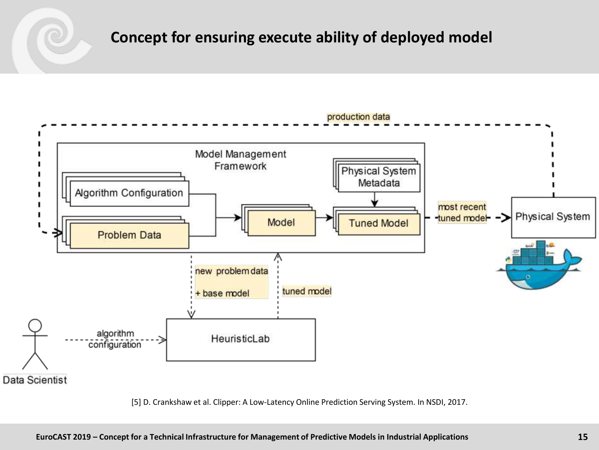#### **Concept for ensuring execute ability of deployed model**

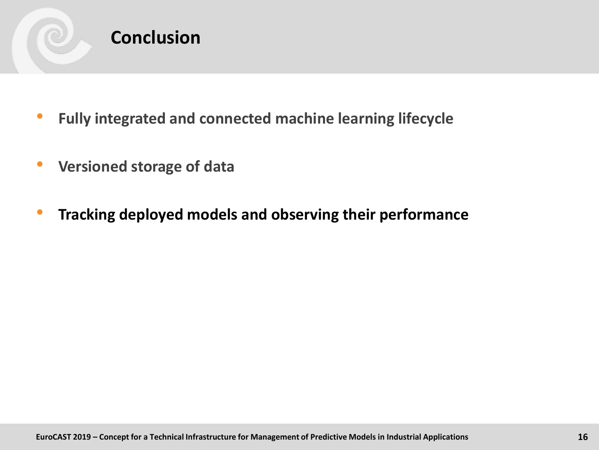

#### **Conclusion**

- **Fully integrated and connected machine learning lifecycle**
- **Versioned storage of data**
- **Tracking deployed models and observing their performance**